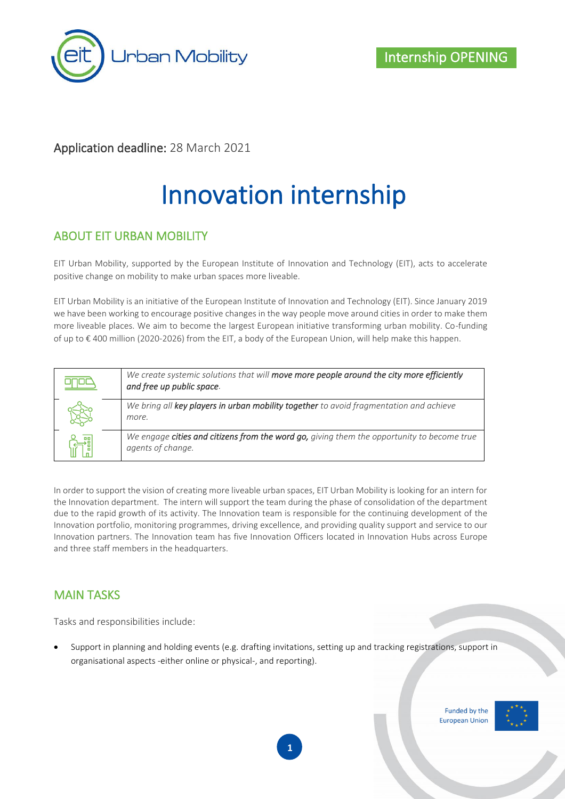

### Application deadline: 28 March 2021

# Innovation internship

#### ABOUT EIT URBAN MOBILITY

EIT Urban Mobility, supported by the European Institute of Innovation and Technology (EIT), acts to accelerate positive change on mobility to make urban spaces more liveable.

EIT Urban Mobility is an initiative of the European Institute of Innovation and Technology (EIT). Since January 2019 we have been working to encourage positive changes in the way people move around cities in order to make them more liveable places. We aim to become the largest European initiative transforming urban mobility. Co-funding of up to € 400 million (2020-2026) from the EIT, a body of the European Union, will help make this happen.

| We create systemic solutions that will move more people around the city more efficiently<br>and free up public space. |
|-----------------------------------------------------------------------------------------------------------------------|
| We bring all key players in urban mobility together to avoid fragmentation and achieve<br>more.                       |
| We engage cities and citizens from the word go, giving them the opportunity to become true<br>agents of change.       |

In order to support the vision of creating more liveable urban spaces, EIT Urban Mobility is looking for an intern for the Innovation department. The intern will support the team during the phase of consolidation of the department due to the rapid growth of its activity. The Innovation team is responsible for the continuing development of the Innovation portfolio, monitoring programmes, driving excellence, and providing quality support and service to our Innovation partners. The Innovation team has five Innovation Officers located in Innovation Hubs across Europe and three staff members in the headquarters.

#### MAIN TASKS

Tasks and responsibilities include:

• Support in planning and holding events (e.g. drafting invitations, setting up and tracking registrations, support in organisational aspects -either online or physical-, and reporting).

> Funded by the **European Union**

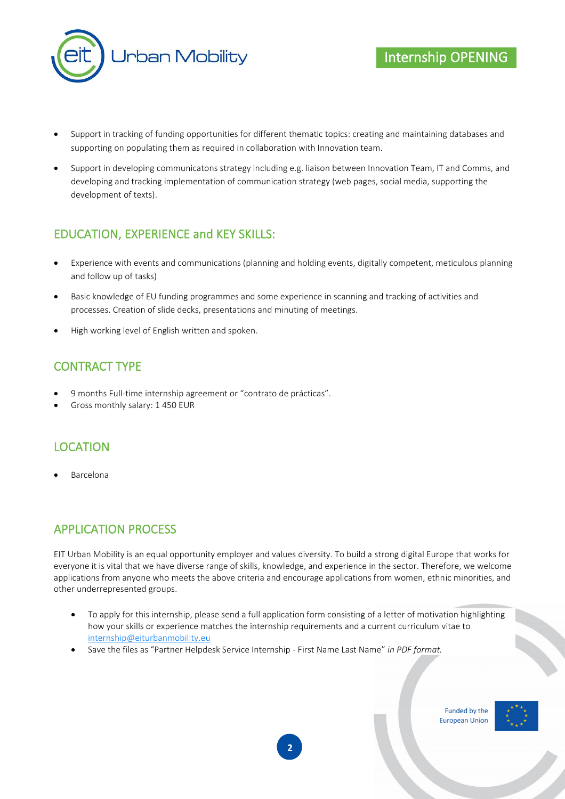

- Support in tracking of funding opportunities for different thematic topics: creating and maintaining databases and supporting on populating them as required in collaboration with Innovation team.
- Support in developing communicatons strategy including e.g. liaison between Innovation Team, IT and Comms, and developing and tracking implementation of communication strategy (web pages, social media, supporting the development of texts).

### EDUCATION, EXPERIENCE and KEY SKILLS:

- Experience with events and communications (planning and holding events, digitally competent, meticulous planning and follow up of tasks)
- Basic knowledge of EU funding programmes and some experience in scanning and tracking of activities and processes. Creation of slide decks, presentations and minuting of meetings.
- High working level of English written and spoken.

### CONTRACT TYPE

- 9 months Full-time internship agreement or "contrato de prácticas".
- Gross monthly salary: 1 450 EUR

#### LOCATION

• Barcelona

#### APPLICATION PROCESS

EIT Urban Mobility is an equal opportunity employer and values diversity. To build a strong digital Europe that works for everyone it is vital that we have diverse range of skills, knowledge, and experience in the sector. Therefore, we welcome applications from anyone who meets the above criteria and encourage applications from women, ethnic minorities, and other underrepresented groups.

- To apply for this internship, please send a full application form consisting of a letter of motivation highlighting how your skills or experience matches the internship requirements and a current curriculum vitae to [internship@eiturbanmobility.eu](mailto:internship@eiturbanmobility.eu)
- Save the files as "Partner Helpdesk Service Internship First Name Last Name" *in PDF format.*

Funded by the **European Union**